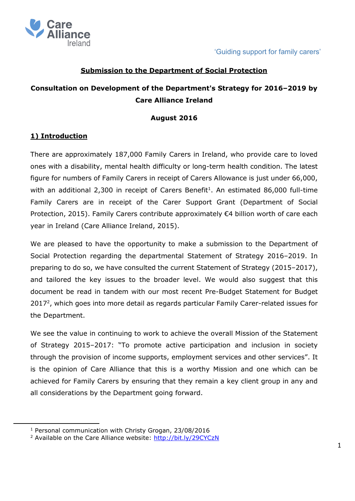

#### **Submission to the Department of Social Protection**

# **Consultation on Development of the Department's Strategy for 2016–2019 by Care Alliance Ireland**

#### **August 2016**

#### **1) Introduction**

 $\overline{a}$ 

There are approximately 187,000 Family Carers in Ireland, who provide care to loved ones with a disability, mental health difficulty or long-term health condition. The latest figure for numbers of Family Carers in receipt of Carers Allowance is just under 66,000, with an additional  $2,300$  in receipt of Carers Benefit<sup>1</sup>. An estimated 86,000 full-time Family Carers are in receipt of the Carer Support Grant (Department of Social Protection, 2015). Family Carers contribute approximately €4 billion worth of care each year in Ireland (Care Alliance Ireland, 2015).

We are pleased to have the opportunity to make a submission to the Department of Social Protection regarding the departmental Statement of Strategy 2016–2019. In preparing to do so, we have consulted the current Statement of Strategy (2015–2017), and tailored the key issues to the broader level. We would also suggest that this document be read in tandem with our most recent Pre-Budget Statement for Budget 2017<sup>2</sup>, which goes into more detail as regards particular Family Carer-related issues for the Department.

We see the value in continuing to work to achieve the overall Mission of the Statement of Strategy 2015–2017: "To promote active participation and inclusion in society through the provision of income supports, employment services and other services". It is the opinion of Care Alliance that this is a worthy Mission and one which can be achieved for Family Carers by ensuring that they remain a key client group in any and all considerations by the Department going forward.

<sup>1</sup> Personal communication with Christy Grogan, 23/08/2016

<sup>&</sup>lt;sup>2</sup> Available on the Care Alliance website:<http://bit.ly/29CYCzN>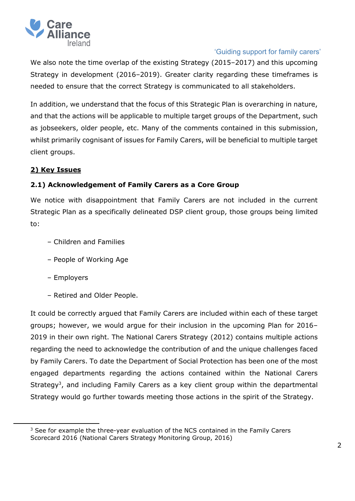

We also note the time overlap of the existing Strategy (2015–2017) and this upcoming Strategy in development (2016–2019). Greater clarity regarding these timeframes is needed to ensure that the correct Strategy is communicated to all stakeholders.

In addition, we understand that the focus of this Strategic Plan is overarching in nature, and that the actions will be applicable to multiple target groups of the Department, such as jobseekers, older people, etc. Many of the comments contained in this submission, whilst primarily cognisant of issues for Family Carers, will be beneficial to multiple target client groups.

# **2) Key Issues**

# **2.1) Acknowledgement of Family Carers as a Core Group**

We notice with disappointment that Family Carers are not included in the current Strategic Plan as a specifically delineated DSP client group, those groups being limited to:

- Children and Families
- People of Working Age
- Employers

 $\overline{a}$ 

– Retired and Older People.

It could be correctly argued that Family Carers are included within each of these target groups; however, we would argue for their inclusion in the upcoming Plan for 2016– 2019 in their own right. The National Carers Strategy (2012) contains multiple actions regarding the need to acknowledge the contribution of and the unique challenges faced by Family Carers. To date the Department of Social Protection has been one of the most engaged departments regarding the actions contained within the National Carers Strategy<sup>3</sup>, and including Family Carers as a key client group within the departmental Strategy would go further towards meeting those actions in the spirit of the Strategy.

 $3$  See for example the three-year evaluation of the NCS contained in the Family Carers Scorecard 2016 (National Carers Strategy Monitoring Group, 2016)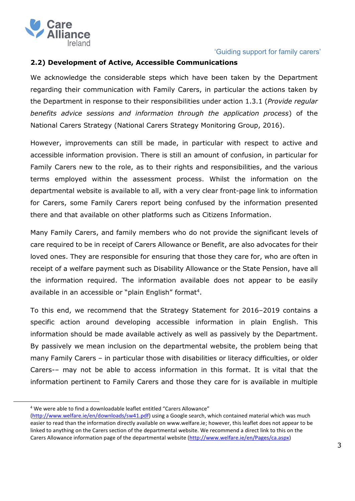

#### **2.2) Development of Active, Accessible Communications**

We acknowledge the considerable steps which have been taken by the Department regarding their communication with Family Carers, in particular the actions taken by the Department in response to their responsibilities under action 1.3.1 (*Provide regular benefits advice sessions and information through the application process*) of the National Carers Strategy (National Carers Strategy Monitoring Group, 2016).

However, improvements can still be made, in particular with respect to active and accessible information provision. There is still an amount of confusion, in particular for Family Carers new to the role, as to their rights and responsibilities, and the various terms employed within the assessment process. Whilst the information on the departmental website is available to all, with a very clear front-page link to information for Carers, some Family Carers report being confused by the information presented there and that available on other platforms such as Citizens Information.

Many Family Carers, and family members who do not provide the significant levels of care required to be in receipt of Carers Allowance or Benefit, are also advocates for their loved ones. They are responsible for ensuring that those they care for, who are often in receipt of a welfare payment such as Disability Allowance or the State Pension, have all the information required. The information available does not appear to be easily available in an accessible or "plain English" format<sup>4</sup>.

To this end, we recommend that the Strategy Statement for 2016–2019 contains a specific action around developing accessible information in plain English. This information should be made available actively as well as passively by the Department. By passively we mean inclusion on the departmental website, the problem being that many Family Carers – in particular those with disabilities or literacy difficulties, or older Carers-– may not be able to access information in this format. It is vital that the information pertinent to Family Carers and those they care for is available in multiple

 $\overline{a}$ 

<sup>4</sup> We were able to find a downloadable leaflet entitled "Carers Allowance"

[<sup>\(</sup>http://www.welfare.ie/en/downloads/sw41.pdf\)](http://www.welfare.ie/en/downloads/sw41.pdf) using a Google search, which contained material which was much easier to read than the information directly available on www.welfare.ie; however, this leaflet does not appear to be linked to anything on the Carers section of the departmental website. We recommend a direct link to this on the Carers Allowance information page of the departmental website [\(http://www.welfare.ie/en/Pages/ca.aspx\)](http://www.welfare.ie/en/Pages/ca.aspx)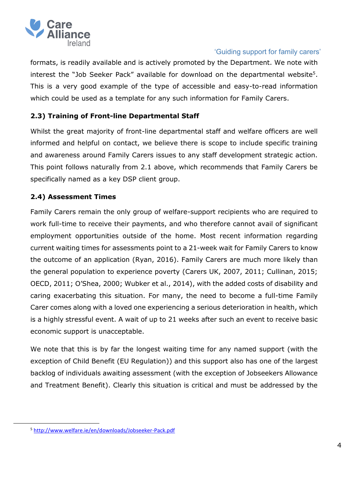

formats, is readily available and is actively promoted by the Department. We note with interest the "Job Seeker Pack" available for download on the departmental website<sup>5</sup>. This is a very good example of the type of accessible and easy-to-read information which could be used as a template for any such information for Family Carers.

# **2.3) Training of Front-line Departmental Staff**

Whilst the great majority of front-line departmental staff and welfare officers are well informed and helpful on contact, we believe there is scope to include specific training and awareness around Family Carers issues to any staff development strategic action. This point follows naturally from 2.1 above, which recommends that Family Carers be specifically named as a key DSP client group.

# **2.4) Assessment Times**

Family Carers remain the only group of welfare-support recipients who are required to work full-time to receive their payments, and who therefore cannot avail of significant employment opportunities outside of the home. Most recent information regarding current waiting times for assessments point to a 21-week wait for Family Carers to know the outcome of an application (Ryan, 2016). Family Carers are much more likely than the general population to experience poverty (Carers UK, 2007, 2011; Cullinan, 2015; OECD, 2011; O'Shea, 2000; Wubker et al., 2014), with the added costs of disability and caring exacerbating this situation. For many, the need to become a full-time Family Carer comes along with a loved one experiencing a serious deterioration in health, which is a highly stressful event. A wait of up to 21 weeks after such an event to receive basic economic support is unacceptable.

We note that this is by far the longest waiting time for any named support (with the exception of Child Benefit (EU Regulation)) and this support also has one of the largest backlog of individuals awaiting assessment (with the exception of Jobseekers Allowance and Treatment Benefit). Clearly this situation is critical and must be addressed by the

 $\ddot{\phantom{a}}$ 

<sup>5</sup> <http://www.welfare.ie/en/downloads/Jobseeker-Pack.pdf>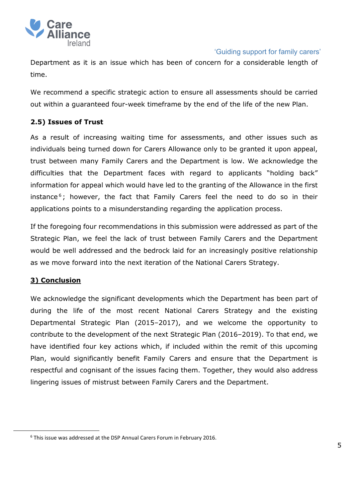

Department as it is an issue which has been of concern for a considerable length of time.

We recommend a specific strategic action to ensure all assessments should be carried out within a guaranteed four-week timeframe by the end of the life of the new Plan.

# **2.5) Issues of Trust**

As a result of increasing waiting time for assessments, and other issues such as individuals being turned down for Carers Allowance only to be granted it upon appeal, trust between many Family Carers and the Department is low. We acknowledge the difficulties that the Department faces with regard to applicants "holding back" information for appeal which would have led to the granting of the Allowance in the first instance<sup>6</sup>; however, the fact that Family Carers feel the need to do so in their applications points to a misunderstanding regarding the application process.

If the foregoing four recommendations in this submission were addressed as part of the Strategic Plan, we feel the lack of trust between Family Carers and the Department would be well addressed and the bedrock laid for an increasingly positive relationship as we move forward into the next iteration of the National Carers Strategy.

#### **3) Conclusion**

 $\overline{a}$ 

We acknowledge the significant developments which the Department has been part of during the life of the most recent National Carers Strategy and the existing Departmental Strategic Plan (2015–2017), and we welcome the opportunity to contribute to the development of the next Strategic Plan (2016–2019). To that end, we have identified four key actions which, if included within the remit of this upcoming Plan, would significantly benefit Family Carers and ensure that the Department is respectful and cognisant of the issues facing them. Together, they would also address lingering issues of mistrust between Family Carers and the Department.

<sup>6</sup> This issue was addressed at the DSP Annual Carers Forum in February 2016.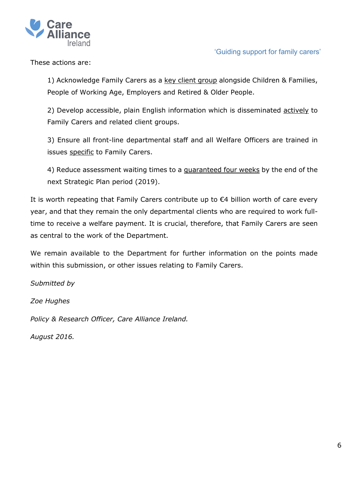

These actions are:

1) Acknowledge Family Carers as a key client group alongside Children & Families, People of Working Age, Employers and Retired & Older People.

2) Develop accessible, plain English information which is disseminated actively to Family Carers and related client groups.

3) Ensure all front-line departmental staff and all Welfare Officers are trained in issues specific to Family Carers.

4) Reduce assessment waiting times to a guaranteed four weeks by the end of the next Strategic Plan period (2019).

It is worth repeating that Family Carers contribute up to €4 billion worth of care every year, and that they remain the only departmental clients who are required to work fulltime to receive a welfare payment. It is crucial, therefore, that Family Carers are seen as central to the work of the Department.

We remain available to the Department for further information on the points made within this submission, or other issues relating to Family Carers.

*Submitted by*

*Zoe Hughes*

*Policy & Research Officer, Care Alliance Ireland.*

*August 2016.*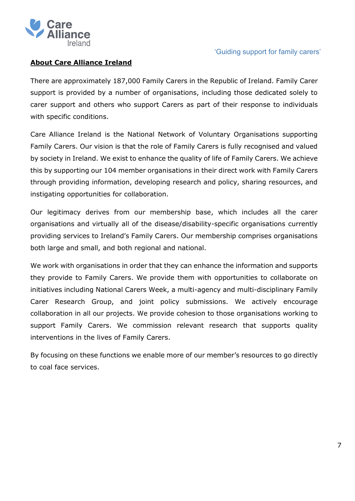

# **About Care Alliance Ireland**

There are approximately 187,000 Family Carers in the Republic of Ireland. Family Carer support is provided by a number of organisations, including those dedicated solely to carer support and others who support Carers as part of their response to individuals with specific conditions.

Care Alliance Ireland is the National Network of Voluntary Organisations supporting Family Carers. Our vision is that the role of Family Carers is fully recognised and valued by society in Ireland. We exist to enhance the quality of life of Family Carers. We achieve this by supporting our 104 member organisations in their direct work with Family Carers through providing information, developing research and policy, sharing resources, and instigating opportunities for collaboration.

Our legitimacy derives from our membership base, which includes all the carer organisations and virtually all of the disease/disability-specific organisations currently providing services to Ireland's Family Carers. Our membership comprises organisations both large and small, and both regional and national.

We work with organisations in order that they can enhance the information and supports they provide to Family Carers. We provide them with opportunities to collaborate on initiatives including National Carers Week, a multi-agency and multi-disciplinary Family Carer Research Group, and joint policy submissions. We actively encourage collaboration in all our projects. We provide cohesion to those organisations working to support Family Carers. We commission relevant research that supports quality interventions in the lives of Family Carers.

By focusing on these functions we enable more of our member's resources to go directly to coal face services.